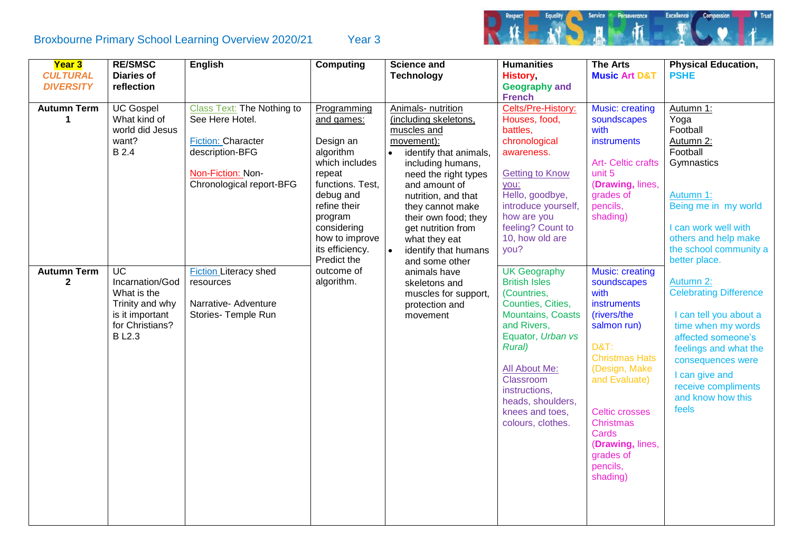## Broxbourne Primary School Learning Overview 2020/21 Year 3



| Year 3             | <b>RE/SMSC</b>    | <b>English</b>               | <b>Computing</b> | <b>Science and</b>                  | <b>Humanities</b>        | <b>The Arts</b>           | <b>Physical Education,</b>    |
|--------------------|-------------------|------------------------------|------------------|-------------------------------------|--------------------------|---------------------------|-------------------------------|
| <b>CULTURAL</b>    | <b>Diaries of</b> |                              |                  | <b>Technology</b>                   | <b>History</b>           | <b>Music Art D&amp;T</b>  | <b>PSHE</b>                   |
| <b>DIVERSITY</b>   | reflection        |                              |                  |                                     | <b>Geography and</b>     |                           |                               |
|                    |                   |                              |                  |                                     | <b>French</b>            |                           |                               |
| <b>Autumn Term</b> | <b>UC Gospel</b>  | Class Text: The Nothing to   | Programming      | Animals- nutrition                  | Celts/Pre-History:       | Music: creating           | Autumn 1:                     |
| 1                  | What kind of      | See Here Hotel.              | and games:       | (including skeletons,               | Houses, food,            | soundscapes               | Yoga                          |
|                    | world did Jesus   |                              |                  | muscles and                         | battles,                 | with                      | Football                      |
|                    | want?             | <b>Fiction: Character</b>    | Design an        | movement):                          | chronological            | instruments               | Autumn 2:                     |
|                    | <b>B</b> 2.4      | description-BFG              | algorithm        | identify that animals,<br>$\bullet$ | awareness.               |                           | Football                      |
|                    |                   |                              | which includes   | including humans,                   |                          | <b>Art- Celtic crafts</b> | Gymnastics                    |
|                    |                   | Non-Fiction: Non-            | repeat           | need the right types                | <b>Getting to Know</b>   | unit 5                    |                               |
|                    |                   | Chronological report-BFG     | functions. Test, | and amount of                       | you:                     | (Drawing, lines,          |                               |
|                    |                   |                              | debug and        | nutrition, and that                 | Hello, goodbye,          | grades of                 | Autumn 1:                     |
|                    |                   |                              | refine their     | they cannot make                    | introduce yourself,      | pencils,                  | Being me in my world          |
|                    |                   |                              | program          | their own food; they                | how are you              | shading)                  |                               |
|                    |                   |                              | considering      | get nutrition from                  | feeling? Count to        |                           | I can work well with          |
|                    |                   |                              | how to improve   | what they eat                       | 10, how old are          |                           | others and help make          |
|                    |                   |                              | its efficiency.  | $\bullet$<br>identify that humans   | you?                     |                           | the school community a        |
|                    |                   |                              | Predict the      | and some other                      |                          |                           | better place.                 |
| <b>Autumn Term</b> | <b>UC</b>         | <b>Fiction Literacy shed</b> | outcome of       | animals have                        | <b>UK Geography</b>      | <b>Music: creating</b>    |                               |
| $\mathbf{2}$       | Incarnation/God   | resources                    | algorithm.       | skeletons and                       | <b>British Isles</b>     | soundscapes               | Autumn 2:                     |
|                    | What is the       |                              |                  | muscles for support,                | (Countries,              | with                      | <b>Celebrating Difference</b> |
|                    | Trinity and why   | Narrative- Adventure         |                  | protection and                      | Counties, Cities,        | instruments               |                               |
|                    | is it important   | Stories- Temple Run          |                  | movement                            | <b>Mountains, Coasts</b> | (rivers/the               | I can tell you about a        |
|                    | for Christians?   |                              |                  |                                     | and Rivers,              | salmon run)               | time when my words            |
|                    | <b>BL2.3</b>      |                              |                  |                                     | Equator, Urban vs        |                           | affected someone's            |
|                    |                   |                              |                  |                                     | <b>Rural</b> )           | <b>D&amp;T:</b>           | feelings and what the         |
|                    |                   |                              |                  |                                     |                          | <b>Christmas Hats</b>     | consequences were             |
|                    |                   |                              |                  |                                     | All About Me:            | (Design, Make             | I can give and                |
|                    |                   |                              |                  |                                     | Classroom                | and Evaluate)             | receive compliments           |
|                    |                   |                              |                  |                                     | instructions,            |                           | and know how this             |
|                    |                   |                              |                  |                                     | heads, shoulders,        |                           |                               |
|                    |                   |                              |                  |                                     | knees and toes,          | <b>Celtic crosses</b>     | feels                         |
|                    |                   |                              |                  |                                     | colours, clothes.        | <b>Christmas</b>          |                               |
|                    |                   |                              |                  |                                     |                          | Cards                     |                               |
|                    |                   |                              |                  |                                     |                          | (Drawing, lines,          |                               |
|                    |                   |                              |                  |                                     |                          | grades of                 |                               |
|                    |                   |                              |                  |                                     |                          | pencils,                  |                               |
|                    |                   |                              |                  |                                     |                          | shading)                  |                               |
|                    |                   |                              |                  |                                     |                          |                           |                               |
|                    |                   |                              |                  |                                     |                          |                           |                               |
|                    |                   |                              |                  |                                     |                          |                           |                               |
|                    |                   |                              |                  |                                     |                          |                           |                               |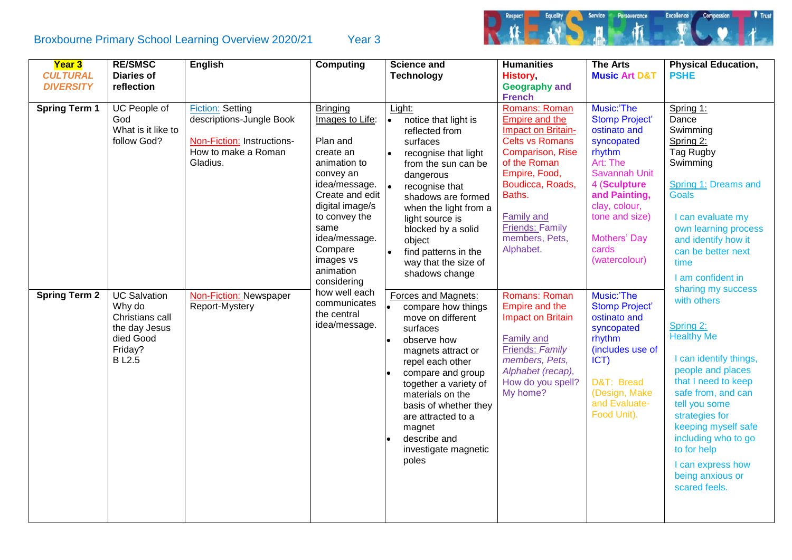## Broxbourne Primary School Learning Overview 2020/21 Year 3



| <b>Year 3</b><br><b>CULTURAL</b><br><b>DIVERSITY</b><br><b>Spring Term 1</b> | <b>RE/SMSC</b><br><b>Diaries of</b><br>reflection<br>UC People of<br>God<br>What is it like to            | <b>English</b><br><b>Fiction: Setting</b><br>descriptions-Jungle Book | <b>Computing</b><br><b>Bringing</b><br>Images to Life:                                                                                                                                                  | <b>Science and</b><br><b>Technology</b><br>Light:<br>notice that light is<br>$\bullet$<br>reflected from                                                                                                                                                                                                        | <b>Humanities</b><br><b>History</b><br><b>Geography and</b><br><b>French</b><br>Romans: Roman<br>Empire and the<br>Impact on Britain-                                                          | <b>The Arts</b><br><b>Music Art D&amp;T</b><br>Music:'The<br><b>Stomp Project'</b><br>ostinato and                                                                             | <b>Physical Education,</b><br><b>PSHE</b><br>Spring 1:<br>Dance<br>Swimming                                                                                                                                                                                                                         |
|------------------------------------------------------------------------------|-----------------------------------------------------------------------------------------------------------|-----------------------------------------------------------------------|---------------------------------------------------------------------------------------------------------------------------------------------------------------------------------------------------------|-----------------------------------------------------------------------------------------------------------------------------------------------------------------------------------------------------------------------------------------------------------------------------------------------------------------|------------------------------------------------------------------------------------------------------------------------------------------------------------------------------------------------|--------------------------------------------------------------------------------------------------------------------------------------------------------------------------------|-----------------------------------------------------------------------------------------------------------------------------------------------------------------------------------------------------------------------------------------------------------------------------------------------------|
|                                                                              | follow God?                                                                                               | Non-Fiction: Instructions-<br>How to make a Roman<br>Gladius.         | Plan and<br>create an<br>animation to<br>convey an<br>idea/message.<br>Create and edit<br>digital image/s<br>to convey the<br>same<br>idea/message.<br>Compare<br>images vs<br>animation<br>considering | surfaces<br>recognise that light<br>$\bullet$<br>from the sun can be<br>dangerous<br>$\bullet$<br>recognise that<br>shadows are formed<br>when the light from a<br>light source is<br>blocked by a solid<br>object<br>$\bullet$<br>find patterns in the<br>way that the size of<br>shadows change               | <b>Celts vs Romans</b><br><b>Comparison, Rise</b><br>of the Roman<br>Empire, Food,<br>Boudicca, Roads,<br>Baths.<br><b>Family and</b><br><b>Friends: Family</b><br>members, Pets,<br>Alphabet. | syncopated<br>rhythm<br>Art: The<br>Savannah Unit<br>4 (Sculpture<br>and Painting,<br>clay, colour,<br>tone and size)<br>Mothers' Day<br>cards<br>(watercolour)                | Spring 2:<br>Tag Rugby<br>Swimming<br>Spring 1: Dreams and<br><b>Goals</b><br>I can evaluate my<br>own learning process<br>and identify how it<br>can be better next<br>time<br>I am confident in<br>sharing my success                                                                             |
| <b>Spring Term 2</b>                                                         | <b>UC Salvation</b><br>Why do<br>Christians call<br>the day Jesus<br>died Good<br>Friday?<br><b>BL2.5</b> | Non-Fiction: Newspaper<br>Report-Mystery                              | how well each<br>communicates<br>the central<br>idea/message.                                                                                                                                           | Forces and Magnets:<br>compare how things<br>move on different<br>surfaces<br>observe how<br>magnets attract or<br>repel each other<br>compare and group<br>together a variety of<br>materials on the<br>basis of whether they<br>are attracted to a<br>magnet<br>describe and<br>investigate magnetic<br>poles | Romans: Roman<br>Empire and the<br><b>Impact on Britain</b><br>Family and<br>Friends: Family<br>members, Pets,<br>Alphabet (recap),<br>How do you spell?<br>My home?                           | Music:'The<br><b>Stomp Project'</b><br>ostinato and<br>syncopated<br>rhythm<br>(includes use of<br>$ CT\rangle$<br>D&T: Bread<br>(Design, Make<br>and Evaluate-<br>Food Unit). | with others<br>Spring 2:<br><b>Healthy Me</b><br>I can identify things,<br>people and places<br>that I need to keep<br>safe from, and can<br>tell you some<br>strategies for<br>keeping myself safe<br>including who to go<br>to for help<br>I can express how<br>being anxious or<br>scared feels. |